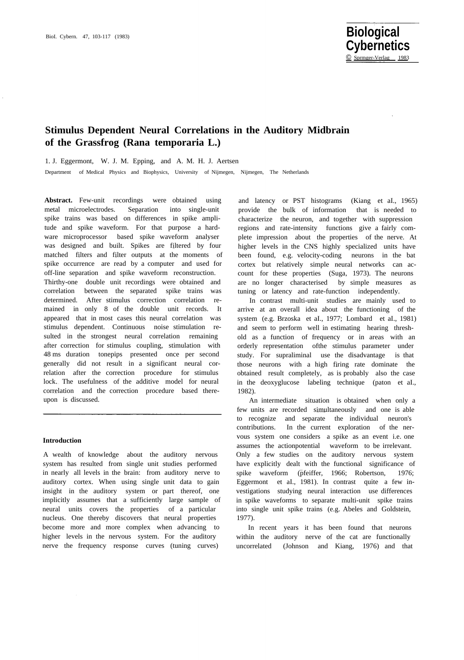# **Stimulus Dependent Neural Correlations in the Auditory Midbrain of the Grassfrog (Rana temporaria L.)**

1. J. Eggermont, W. J. M. Epping, and A. M. H. J. Aertsen Department of Medical Physics and Biophysics, University of Nijmegen, Nijmegen, The Netherlands

**Abstract.** Few-unit recordings were obtained using metal microelectrodes. Separation into single-unit spike trains was based on differences in spike amplitude and spike waveform. For that purpose a hardware microprocessor based spike waveform analyser was designed and built. Spikes are filtered by four matched filters and filter outputs at the moments of spike occurrence are read by a computer and used for off-line separation and spike waveform reconstruction. Thirthy-one double unit recordings were obtained and correlation between the separated spike trains was determined. After stimulus correction correlation remained in only 8 of the double unit records. It appeared that in most cases this neural correlation was stimulus dependent. Continuous noise stimulation resulted in the strongest neural correlation remaining after correction for stimulus coupling, stimulation with 48 ms duration tonepips presented once per second generally did not result in a significant neural correlation after the correction procedure for stimulus lock. The usefulness of the additive model for neural correlation and the correction procedure based thereupon is discussed.

## **Introduction**

A wealth of knowledge about the auditory nervous system has resulted from single unit studies performed in nearly all levels in the brain: from auditory nerve to auditory cortex. When using single unit data to gain insight in the auditory system or part thereof, one implicitly assumes that a sufficiently large sample of neural units covers the properties of a particular nucleus. One thereby discovers that neural properties become more and more complex when advancing to higher levels in the nervous system. For the auditory nerve the frequency response curves (tuning curves)

and latency or PST histograms (Kiang et aI., 1965) provide the bulk of information that is needed to characterize the neuron, and together with suppression regions and rate-intensity functions give a fairly complete impression about the properties of the nerve. At higher levels in the CNS highly specialized units have been found, e.g. velocity-coding neurons in the bat cortex but relatively simple neural networks can account for these properties (Suga, 1973). The neurons are no longer characterised by simple measures as tuning or latency and rate-function independently.

In contrast multi-unit studies are mainly used to arrive at an overall idea about the functioning of the system (e.g. Brzoska et aI., 1977; Lombard et aI., 1981) and seem to perform well in estimating hearing threshold as a function of frequency or in areas with an orderly representation ofthe stimulus parameter under study. For supraliminal use the disadvantage is that those neurons with a high firing rate dominate the obtained result completely, as is probably also the case in the deoxyglucose labeling technique (paton et aI., 1982).

An intermediate situation is obtained when only a few units are recorded simultaneously and one is able to recognize and separate the individual neuron's contributions. In the current exploration of the nervous system one considers a spike as an event i.e. one assumes the actionpotential waveform to be irrelevant. Only a few studies on the auditory nervous system have explicitly dealt with the functional significance of spike waveform (pfeiffer, 1966; Robertson, 1976; Eggermont et aI., 1981). In contrast quite a few investigations studying neural interaction use differences in spike waveforms to separate multi-unit spike trains into single unit spike trains (e.g. Abeles and Goldstein, 1977).

In recent years it has been found that neurons within the auditory nerve of the cat are functionally uncorrelated (Johnson and Kiang, 1976) and that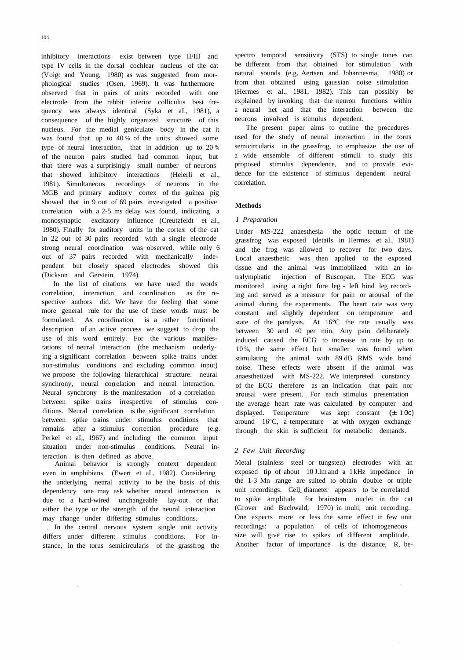inhibitory interactions exist between type II/III and type IV cells in the dorsal cochlear nucleus of the cat (Voigt and Young, 1980) as was suggested from morphological studies (Osen, 1969). It was furthermore observed that in pairs of units recorded with one electrode from the rabbit inferior colliculus best frequency was always identical (Syka et aI., 1981), a consequence of the highly organized structure of this nucleus. For the medial geniculate body in the cat it was found that up to 40 % of the units showed some type of neural interaction, that in addition up to 20 % of the neuron pairs studied had common input, but that there was a surprisingly small number of neurons that showed inhibitory interactions (Heierli et aI., 1981). Simultaneous recordings of neurons in the MGB and primary auditory cortex of the guinea pig showed that in 9 out of 69 pairs investigated a positive correlation with a 2-5 ms delay was found, indicating a monosynaptic excitatory influence (Creutzfeldt et aI., 1980). Finally for auditory units in the cortex of the cat in 22 out of 30 pairs recorded with a single electrode strong neural coordination was observed, while only 6 out of 37 pairs recorded with mechanically independent but closely spaced electrodes showed this (Dickson and Gerstein, 1974).

In the list of citations we have used the words correlation, interaction and coordination as the respective authors did. We have the feeling that some more general rule for the use of these words must be formulated. As coordination is a rather functional description of an active process we suggest to drop the use of this word entirely. For the various manifestations of neural interaction (the mechanism underlying a significant correlation between spike trains under non-stimulus conditions and excluding common input) we propose the following hierarchical structure: neural synchrony, neural correlation and neural interaction. Neural synchrony is the manifestation of a correlation between spike trains irrespective of stimulus conditions. Neural correlation is the significant correlation between spike trains under stimulus conditions that remains after a stimulus correction procedure (e.g. Perkel et aI., 1967) and including the common input situation under non-stimulus conditions. Neural interaction is then defined as above.

Animal behavior is strongly context dependent even in amphibians (Ewert et aI., 1982). Considering the underlying neural activity to be the basis of this dependency one may ask whether neural interaction is due to a hard-wired unchangeable lay-out or that either the type or the strength of the neural interaction may change under differing stimulus conditions.

In the central nervous system single unit activity differs under different stimulus conditions. For instance, in the torus semicircularis of the grassfrog the

spectro temporal sensitivity (STS) to single tones can be different from that obtained for stimulation with natural sounds (e.g. Aertsen and Johannesma, 1980) or from that obtained using gaussian noise stimulation (Hermes et aI., 1981, 1982). This can possibly be explained by invoking that the neuron functions within a neural net and that the interaction between the neurons involved is stimulus dependent.

The present paper aims to outline the procedures used for the study of neural interaction in the torus semicircularis in the grassfrog, to emphasize the use of a wide ensemble of different stimuli to study this proposed stimulus dependence, and to provide evidence for the existence of stimulus dependent neural correlation.

#### **Methods**

#### *1 Preparation*

Under MS-222 anaesthesia the optic tectum of the grassfrog was exposed (details in Hermes et aI., 1981) and the frog was allowed to recover for two days. Local anaesthetic was then applied to the exposed tissue and the animal was immobilized with an intralymphatic injection of Buscopan. The ECG was monitored using a right fore leg - left hind leg recording and served as a measure for pain or arousal of the animal during the experiments. The heart rate was very constant and slightly dependent on temperature and state of the paralysis. At 16°C the rate usually was between 30 and 40 per min. Any pain deliberately induced caused the ECG to increase in rate by up to 10 %, the same effect but smaller was found when stimulating the animal with 89 dB RMS wide band noise. These effects were absent if the animal was anaesthetized with MS-222. We interpreted constancy of the ECG therefore as an indication that pain nor arousal were present. For each stimulus presentation the average heart rate was calculated by computer and displayed. Temperature was kept constant  $(\pm 10c)$ around 16°C, a temperature at with oxygen exchange through the skin is sufficient for metabolic demands.

## *2 Few Unit Recording*

Metal (stainless steel or tungsten) electrodes with an exposed tip of about 10 J.lm and a 1 kHz impedance in the 1-3 Mn range are suited to obtain double or triple unit recordings. Cell diameter appears to be correlated to spike amplitude for brainstem nuclei in the cat (Grover and Buchwald, 1970) in multi unit recording. One expects more or less the same effect in few unit recordings: a population of cells of inhomogeneous size will give rise to spikes of different amplitude. Another factor of importance is the distance, R, be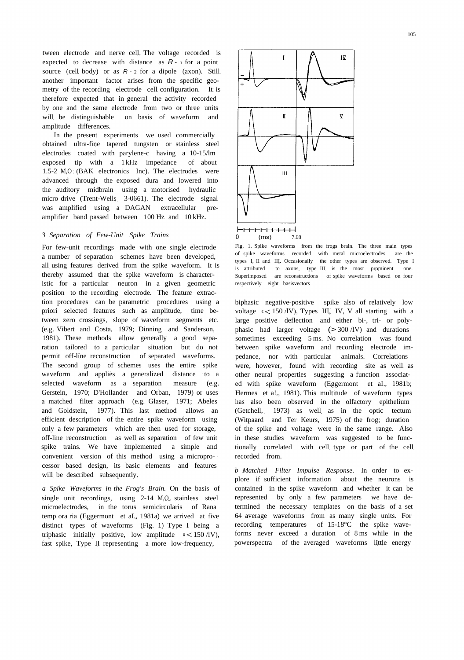tween electrode and nerve cell. The voltage recorded is expected to decrease with distance as  $R - 1$  for a point source (cell body) or as  $R - 2$  for a dipole (axon). Still. another important factor arises from the specific geometry of the recording electrode cell configuration. It is therefore expected that in general the activity recorded by one and the same electrode from two or three units will be distinguishable on basis of waveform and amplitude differences.

In the present experiments we used commercially obtained ultra-fine tapered tungsten or stainless steel electrodes coated with parylene-c having a 10-15/lm exposed tip with a 1 kHz impedance of about 1.5-2 M,O; (BAK electronics Inc). The electrodes were advanced through the exposed dura and lowered into the auditory midbrain using a motorised hydraulic micro drive (Trent-Wells 3-0661). The electrode signal was amplified using a DAGAN extracellular preamplifier band passed between 100 Hz and 10 kHz.

#### *3 Separation of Few-Unit Spike Trains*

For few-unit recordings made with one single electrode a number of separation schemes have been developed, all using features derived from the spike waveform. It is thereby assumed that the spike waveform is characteristic for a particular neuron in a given geometric position to the recording electrode. The feature extraction procedures can be parametric procedures using a priori selected features such as amplitude, time between zero crossings, slope of waveform segments etc. (e.g. Vibert and Costa, 1979; Dinning and Sanderson, 1981). These methods allow generally a good separation tailored to a particular situation but do not permit off-line reconstruction of separated waveforms. The second group of schemes uses the entire spike waveform and applies a generalized distance to a selected waveform as a separation measure (e.g. Gerstein, 1970; D'Hollander and Orban, 1979) or uses a matched filter approach (e.g. Glaser, 1971; Abeles and Goldstein, 1977). This last method allows an efficient description of the entire spike waveform using only a few parameters which are then used for storage, off-line reconstruction as well as separation of few unit spike trains. We have implemented a simple and convenient version of this method using a microprocessor based design, its basic elements and features will be described subsequently.

*a Spike Waveforms in the Frog's Brain.* On the basis of single unit recordings, using 2-14 M,O stainless steel microelectrodes, in the torus semicircularis of Rana temp ora ria (Eggermont et aI., 1981a) we arrived at five distinct types of waveforms (Fig. 1) Type I being a triphasic initially positive, low amplitude  $\ll 150$  /lV), fast spike, Type II representing a more low-frequency,



o (ms) 7.68

Fig. 1. Spike waveforms from the frogs brain. The three main types of spike waveforms recorded with metal microelectrodes are the types I, II and III. Occasionally the other types are observed. Type I is attributed to axons, type III is the most prominent one. Superimposed are reconstructions of spike waveforms based on four respectively eight basisvectors

biphasic negative-positive spike also of relatively low voltage  $\ll 150$  /lV), Types III, IV, V all starting with a large positive deflection and either bi-, tri- or polyphasic had larger voltage  $(> 300/\text{IV})$  and durations sometimes exceeding 5 ms. No correlation was found between spike waveform and recording electrode impedance, nor with particular animals. Correlations were, however, found with recording site as well as other neural properties suggesting a function associated with spike waveform (Eggermont et aI., 1981b; Hermes et a!., 1981). This multitude of waveform types has also been observed in the olfactory epithelium (Getchell, 1973) as well as in the optic tectum (Witpaard and Ter Keurs, 1975) of the frog; duration of the spike and voltage were in the same range. Also in these studies waveform was suggested to be functionally correlated with cell type or part of the cell recorded from.

*b Matched Filter Impulse Response.* In order to explore if sufficient information about the neurons is contained in the spike waveform and whether it can be represented by only a few parameters we have determined the necessary templates on the basis of a set 64 average waveforms from as many single units. For recording temperatures of 15-18°C the spike waveforms never exceed a duration of 8 ms while in the powerspectra of the averaged waveforms little energy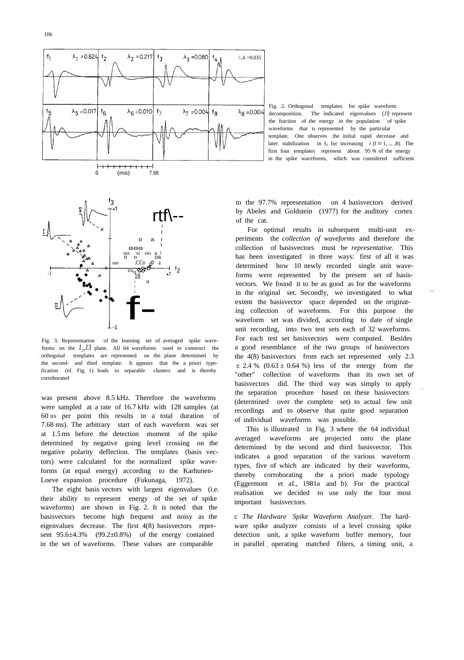

Fig. 2. Orthogonal templates for spike waveform decomposition. The indicated eigenvalues *(,l'i)* represent the fraction of the energy in the population of spike waveforms that is represented by the particular template. One observes the initial rapid decrease and later stabilization in  $A_i$  for increasing *i* (*i* = 1, ... ,8). The first four templates represent about 95 % of the energy in the spike waveforms, which was considered sufficient



Fig. 3. Representation of the learning set of averaged spike waveforms on the  $I_2$ ,  $I_3$  plane. All 64 waveforms used to construct the orthogonal templates are represented on the plane determined by the second- and third template. It appears that the a priori typefication (ef. Fig. 1) leads to separable clusters and is thereby corroborated

was present above 8.5 kHz. Therefore the waveforms were sampled at a rate of 16.7 kHz with 128 samples (at 60 IlS per point this results in a total duration of 7.68 ms). The arbitrary start of each waveform was set at 1.5ms before the detection moment of the spike determined by negative going level crossing on the negative polarity deflection. The templates (basis vectors) were calculated for the normalized spike waveforms (at equal energy) according to the Karhunen-Loeve expansion procedure (Fukunaga, 1972).

The eight basis vectors with largest eigenvalues (i.e. their ability to represent energy of the set of spike waveforms) are shown in Fig. 2. It is noted that the basisvectors become high frequent and noisy as the eigenvalues decrease. The first 4(8) basisvectors represent  $95.6\pm4.3\%$  (99.2 $\pm0.8\%$ ) of the energy contained in the set of waveforms. These values are comparable

to the 97.7% representation on 4 basisvectors derived by Abeles and Goldstein (1977) for the auditory cortex of the cat.

For optimal results in subsequent multi-unit experiments the *collection of waveforms* and therefore the collection of basisvectors must be *representative.* This has been investigated in three ways: first of all it was determined how 10 newly recorded single unit waveforms were represented by the present set of basisvectors. We found it to be as good as for the waveforms in the original set. Secondly, we investigated to what extent the basisvector space depended on the originating collection of waveforms. For this purpose the waveform set was divided, according to date of single unit recording, into two test sets each of 32 waveforms. For each test set basisvectors were computed. Besides a good resemblance of the two groups of basisvectors the 4(8) basisvectors from each set represented only 2.3  $\pm$  2.4 % (0.63  $\pm$  0.64 %) less of the energy from the "other" collection of waveforms than its own set of basisvectors did. The third way was simply to apply the separation procedure based on these basisvectors (determined over the complete set) to actual few unit recordings and to observe that quite good separation of individual waveforms was possible.

This is illustrated in Fig. 3 where the 64 individual averaged waveforms are projected onto the plane determined by the second and third basisvector. This indicates a good separation of the various waveform types, five of which are indicated by their waveforms, thereby corroborating the a priori made typology (Eggermont et aI., 1981a and b). For the practical realisation we decided to use only the four most important basisvectors.

c *The Hardware Spike Waveform Analyzer.* The hardware spike analyzer consists of a level crossing spike detection unit, a spike waveform buffer memory, four in parallel operating matched filters, a timing unit, a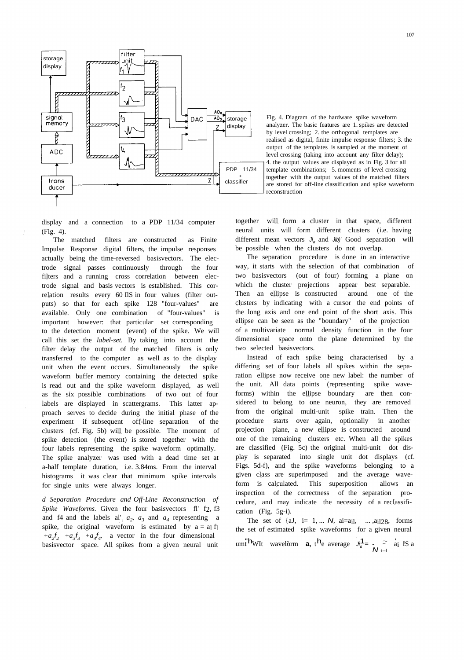

Fig. 4. Diagram of the hardware spike waveform analyzer. The basic features are 1. spikes are detected by level crossing; 2. the orthogonal templates are realised as digital, finite impulse response filters; 3. the output of the templates is sampled at the moment of level crossing (taking into account any filter delay); 4. the output values are displayed as in Fig. 3 for all template combinations; 5. moments of level crossing together with the output values of the matched filters are stored for off-line classification and spike waveform reconstruction

display and a connection to a PDP 11/34 computer (Fig. 4).

The matched filters are constructed as Finite Impulse Response digital filters, the impulse responses actually being the time-reversed basisvectors. The electrode signal passes continuously through the four filters and a running cross correlation between electrode signal and basis vectors is established. This correlation results every 60 IlS in four values (filter outputs) so that for each spike 128 "four-values" are available. Only one combination of "four-values" is important however: that particular set corresponding to the detection moment (event) of the spike. We will call this set the *label-set.* By taking into account the filter delay the output of the matched filters is only transferred to the computer as well as to the display unit when the event occurs. Simultaneously the spike waveform buffer memory containing the detected spike is read out and the spike waveform displayed, as well as the six possible combinations of two out of four labels are displayed in scattergrams. This latter approach serves to decide during the initial phase of the experiment if subsequent off-line separation of the clusters (cf. Fig. 5b) will be possible. The moment of spike detection (the event) is stored together with the four labels representing the spike waveform optimally. The spike analyzer was used with a dead time set at a-half template duration, i.e. 3.84ms. From the interval histograms it was clear that minimum spike intervals for single units were always longer.

*d Separation Procedure and Off-Line Reconstruction of Spike Waveforms.* Given the four basisvectors fl' f2, f3 and f4 and the labels al'  $a_2$ ,  $a_3$  and  $a_4$  representing a spike, the original waveform is estimated by  $a = a_1 f_1$  $+a_2 f_2 + a_3 f_3 + a_4 f_4$  a vector in the four dimensional basisvector space. All spikes from a given neural unit

together will form a cluster in that space, different neural units will form different clusters (i.e. having different mean vectors *Ji<sup>a</sup>* and *Jib)'* Good separation will be possible when the clusters do not overlap.

The separation procedure is done in an interactive way, it starts with the selection of that combination of two basisvectors (out of four) forming a plane on which the cluster projections appear best separable. Then an ellipse is constructed around one of the clusters by indicating with a cursor the end points of the long axis and one end point of the short axis. This ellipse can be seen as the "boundary" of the projection of a multivariate normal density function in the four dimensional space onto the plane determined by the two selected basisvectors.

Instead of each spike being characterised by a differing set of four labels all spikes within the separation ellipse now receive one new label: the number of the unit. All data points (representing spike waveforms) within the ellipse boundary are then considered to belong to one neuron, they are removed from the original multi-unit spike train. Then the procedure starts over again, optionally in another projection plane, a new ellipse is constructed around one of the remaining clusters etc. When all the spikes are classified (Fig. 5c) the original multi-unit dot display is separated into single unit dot displays (cf. Figs. 5d-f), and the spike waveforms belonging to a given class are superimposed and the average waveform is calculated. This superposition allows an inspection of the correctness of the separation procedure, and may indicate the necessity of a reclassification (Fig. 5g-i).

The set of  ${aJ, i=1, ... N, ai=a_{i1}, ... ,a_{i128}}$ , forms the set of estimated spike waveforms for a given neural umt<sup>"</sup>h WIt wavelorm **a**, t<sup>h</sup>e average  $J_i^1 = \frac{z}{N}$  ai IS a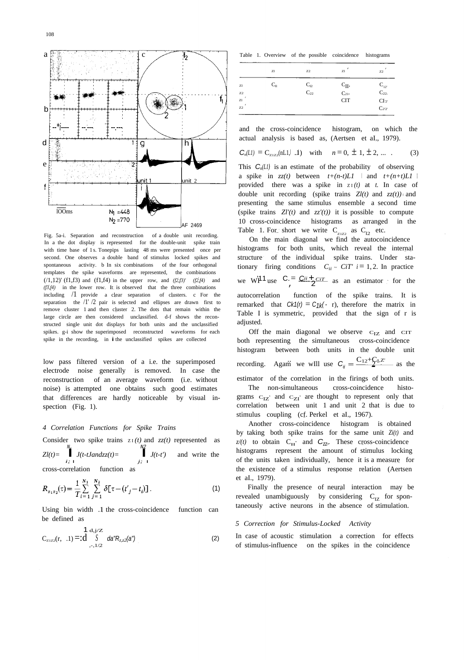

Fig. 5a-i. Separation and reconstruction of a double unit recording. In a the dot display is represented for the double-unit spike train with time base of 1 s. Tonepips lasting 48 ms were presented once per second. One observes a double band of stimulus locked spikes and spontaneous activity. b In six combinations of the four orthogonal templates the spike waveforms are represented, the combinations  $(1,12)'$  (f1,f3) and (f1,f4) in the upper row, and  $(f2,f3)'$   $(f2,f4)'$  and *(f3,f4)* in the lower row. It is observed that the three combinations including /1 provide a clear separation of clusters. c For the separation the  $\frac{1}{2}$  pair is selected and ellipses are drawn first to remove cluster 1 and then cluster 2. The dots that remain within the large circle are then considered unclassified. d-f shows the reconstructed single unit dot displays for both units and the unclassified spikes. g-i show the superimposed reconstructed waveforms for each spike in the recording, in i the unclassified spikes are collected

low pass filtered version of a i.e. the superimposed electrode noise generally is removed. In case the reconstruction of an average waveform (i.e. without noise) is attempted one obtains such good estimates that differences are hardly noticeable by visual inspection (Fig. 1).

## *4 Correlation Functions for Spike Trains*

Consider two spike trains  $z_1(t)$  and  $z_2(t)$  represented as  $Zl(t) = \int_{0}^{N^2} J(t-t')$  and write the *N, N2 i*; 1 *j;* 1 cross-correlation function as

$$
R_{z_1 z_2}(\tau) = \frac{1}{T} \sum_{i=1}^{N_1} \sum_{j=1}^{N_2} \delta[\tau - (t'_j - t_i)]. \tag{1}
$$

Using bin width .1 the cross-coincidence function can be defined as

$$
C_{Z1Z2}(r, .1) =: d \int_{-r, 1/2}^{1 \text{ d}, j/2} d\theta'' R_{z, z2}(a'')
$$
 (2)

Table 1. Overview of the possible coincidence histograms

|                | ZI       | Z <sub>2</sub>                      | Z1         | Z <sub>2</sub>                            |
|----------------|----------|-------------------------------------|------------|-------------------------------------------|
| Z1             | $C_{11}$ |                                     | $C_{II}$   |                                           |
| Z2             |          | $\mathbf{C}_{12}$ $\mathbf{C}_{22}$ | $C_{21}$   | $\mathbf{C}_{_{12}}$ $\mathbf{C}_{_{22}}$ |
| $\overline{z}$ |          |                                     | <b>CIT</b> | CI <sub>2</sub>                           |
| Z <sub>2</sub> |          |                                     |            | $C_{2'2'}$                                |

and the cross-coincidence histogram, on which the actual analysis is based as, (Aertsen et aI., 1979).

$$
C_n(Ll) = C_{2122}(nL1, 1) \quad \text{with} \quad n = 0, \pm 1, \pm 2, ... \quad . \tag{3}
$$

This  $C_n(L)$  is an estimate of the probability of observing a spike in  $zz(t)$  between  $t+(n-t)LI$  and  $t+(n+t)LI$ provided there was a spike in  $z_1(t)$  at *t*. In case of double unit recording (spike trains  $Zl(t)$  and  $zz(t)$ ) and presenting the same stimulus ensemble a second time (spike trains  $Zl'(t)$  and  $zz'(t)$ ) it is possible to compute 10 cross-coincidence histograms as arranged in the Table 1. For short we write  $C_{z_1z_2}$  as  $C_{12}$  etc.

On the main diagonal we find the autocoincidence histograms for both units, which reveal the internal structure of the individual spike trains. Under stationary firing conditions  $C_{ii} \sim \text{Ci}T'$  *i* = 1, 2. In practice we WI<sup>'11</sup> use  $C = \frac{Ci^{i}+c^{i}i^{}}{2}$  as an estimator for the autocorrelation function of the spike trains. It is remarked that  $Ck1(r) = C_{1k}(-r)$ , therefore the matrix in Table I is symmetric, provided that the sign of r is adjusted.

Off the main diagonal we observe  $C_{1Z}$  and CIT both representing the simultaneous cross-coincidence histogram between both units in the double unit recording. Agam we wIll use  $C_{ij} = \frac{C_{12} + C_{12}}{2}$  as the estimator of the correlation in the firings of both units.

The non-simultaneous cross-coincidence histograms  $C_{IZ}$  and  $C_{ZI}$  are thought to represent only that correlation between unit 1 and unit 2 that is due to stimulus coupling (cf. Perkel et aI., 1967).

Another cross-coincidence histogram is obtained by taking both spike trains for the same unit *Zi(t)* and  $z/(t)$  to obtain  $C_{11}$  and  $C_{zz}$ . These cross-coincidence histograms represent the amount of stimulus locking of the units taken individually, hence it is a measure for the existence of a stimulus response relation (Aertsen et aI., 1979).

Finally the presence of neural interaction may be revealed unambiguously by considering  $C_{IZ}$  for spontaneously active neurons in the absence of stimulation.

#### *5 Correction for Stimulus-Locked Activity*

In case of acoustic stimulation a correction for effects of stimulus-influence on the spikes in the coincidence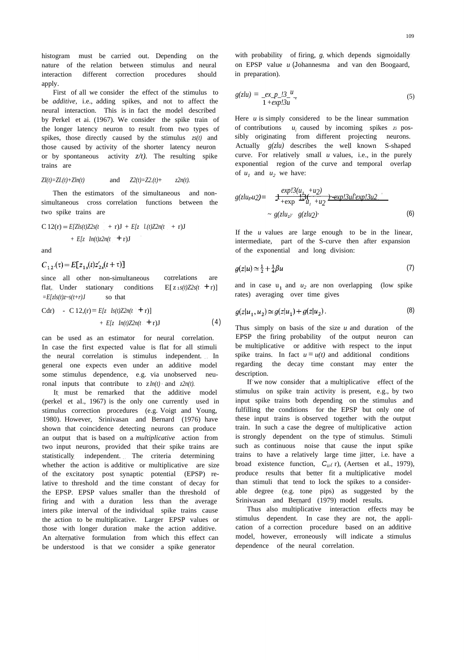histogram must be carried out. Depending on the nature of the relation between stimulus and neural interaction different correction procedures should apply.

First of all we consider the effect of the stimulus to be *additive,* i.e., adding spikes, and not to affect the neural interaction. This is in fact the model described by Perkel et ai. (1967). We consider the spike train of the longer latency neuron to result from two types of spikes, those directly caused by the stimulus *zs(t)* and those caused by activity of the shorter latency neuron or by spontaneous activity  $z/t$ ). The resulting spike trains are

$$
ZI(t)=ZI(t)+ZIn(t) \qquad \text{and} \qquad Z2(t)=Z2(t)+\qquad z2n(t).
$$

Then the estimators of the simultaneous and nonsimultaneous cross correlation functions between the two spike trains are

$$
C 12(r) = E[Zls(t)Z2s(t + r)J + E[z L(t)Z2n(t + r)J + E[z Im(t)z2n(t + r)J
$$

and

$$
C_{12'}(\tau) = E[z_{1s}(t)z'_{2s}(t+\tau)]
$$

correlations are  $E[z_1s(t)Z2s(t + r)]$ since all other non-simultaneous flat. Under stationary conditions  $=$ *E[zls(t)z~s(t+r)J* so that

$$
\begin{aligned} \n\text{Cdr)} \quad &= \text{C } 12, \text{(r)} = E[z \quad Is(t)Z2n(t^+ + r)] \\ \n&+ E[z \quad In(t)Z2n(t^+ + r)J \qquad (4) \n\end{aligned}
$$

can be used as an estimator for neural correlation. In case the first expected value is flat for all stimuli the neural correlation is stimulus independent. In general one expects even under an additive model some stimulus dependence, e.g. via unobserved neuronal inputs that contribute to  $z In(t)$  and  $z 2n(t)$ .

It must be remarked that the additive model (perkel et aI., 1967) is the only one currently used in stimulus correction procedures (e.g. Voigt and Young, 1980). However, Srinivasan and Bernard (1976) have shown that coincidence detecting neurons can produce an output that is based on a *multiplicative* action from two input neurons, provided that their spike trains are statistically independent. The criteria determining whether the action is additive or multiplicative are size of the excitatory post synaptic potential (EPSP) relative to threshold and the time constant of decay for the EPSP. EPSP values smaller than the threshold of firing and with a duration less than the average inters pike interval of the individual spike trains cause the action to be multiplicative. Larger EPSP values or those with longer duration make the action additive. An alternative formulation from which this effect can be understood is that we consider a spike generator

with probability of firing, *g,* which depends sigmoidally on EPSP value *u* (Johannesma and van den Boogaard, in preparation).

$$
g(zlu) = \underbrace{-ex\_p\_!\,3\_u}_{1 + exp!\,3u} \tag{5}
$$

Here *u* is simply considered to be the linear summation of contributions *u<sup>i</sup>* caused by incoming spikes *Zi* possibly originating from different projecting neurons. Actually *g(zlu)* describes the well known S-shaped curve. For relatively small *u* values, i.e., in the purely exponential region of the curve and temporal overlap of  $u_1$  and  $u_2$  we have:

$$
g(zlu_{P}u_{2}) = \frac{exp/3(u_{1} + u_{2})}{1 + exp \frac{13}{u_{1} + u_{2}} \cdot exp/3ul'exp/3u^{2}} - g(zlu_{1}) \cdot g(zlu_{2})
$$
\n(6)

If the *u* values are large enough to be in the linear, intermediate, part of the S-curve then after expansion of the exponential and long division:

$$
g(z|u) \simeq \frac{1}{2} + \frac{1}{4}\beta u \tag{7}
$$

and in case  $u_1$  and  $u_2$  are non overlapping (low spike rates) averaging over time gives

$$
g(z|u_1, u_2) \simeq g(z|u_1) + g(z|u_2).
$$
 (8)

Thus simply on basis of the size *u* and duration of the EPSP the firing probability of the output neuron can be multiplicative or additive with respect to the input spike trains. In fact  $u = u(t)$  and additional conditions regarding the decay time constant may enter the description.

If we now consider that a multiplicative effect of the stimulus on spike train activity is present, e.g., by two input spike trains both depending on the stimulus and fulfilling the conditions for the EPSP but only one of these input trains is observed together with the output train. In such a case the degree of multiplicative action is strongly dependent on the type of stimulus. Stimuli such as continuous noise that cause the input spike trains to have a relatively large time jitter, i.e. have a broad existence function,  $C_{ii}(r)$ , (Aertsen et al., 1979), produce results that better fit a multiplicative model than stimuli that tend to lock the spikes to a considerable degree (e.g. tone pips) as suggested by the Srinivasan and Bernard (1979) model results.

Thus also multiplicative interaction effects may be stimulus dependent. In case they are not, the application of a correction procedure based on an additive model, however, erroneously will indicate a stimulus dependence of the neural correlation.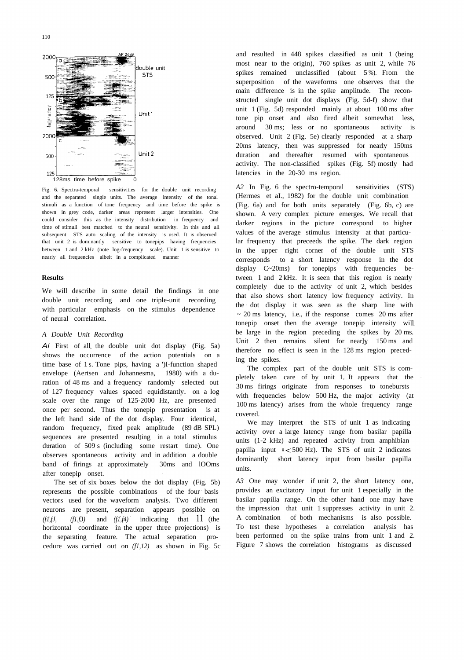

Fig. 6. Spectra-temporal sensitivities for the double unit recording and the separated single units. The average intensity of the tonal stimuli as a function of tone frequency and time before the spike is shown in grey code, darker areas represent larger intensities. One could consider this as the intensity distribution in frequency and time of stimuli best matched to the neural sensitivity. In this and all subsequent STS auto scaling of the intensity is used. It is observed that unit 2 is dominantly sensitive to tonepips having frequencies between 1 and 2 kHz (note log-frequency scale). Unit 1 is sensitive to nearly all frequencies albeit in a complicated manner

## **Results**

We will describe in some detail the findings in one double unit recording and one triple-unit recording with particular emphasis on the stimulus dependence of neural correlation.

## *A Double Unit Recording*

*Ai* First of all the double unit dot display (Fig. 5a) shows the occurrence of the action potentials on a time base of 1 s. Tone pips, having a ')I-function shaped envelope (Aertsen and Johannesma, 1980) with a duration of 48 ms and a frequency randomly selected out of 127 frequency values spaced equidistantly on a log scale over the range of 125-2000 Hz, are presented once per second. Thus the tonepip presentation is at the left hand side of the dot display. Four identical, random frequency, fixed peak amplitude (89 dB SPL) sequences are presented resulting in a total stimulus duration of 509 s (including some restart time). One observes spontaneous activity and in addition a double band of firings at approximately 30ms and lOOms after tonepip onset.

The set of six boxes below the dot display (Fig. 5b) represents the possible combinations of the four basis vectors used for the waveform analysis. Two different neurons are present, separation appears possible on *(f1,fJ, (f1,f3)* and *(f1,f4)* indicating that 11 (the horizontal coordinate in the upper three projections) is the separating feature. The actual separation procedure was carried out on *(f1,12)* as shown in Fig. 5c and resulted in 448 spikes classified as unit 1 (being most near to the origin), 760 spikes as unit 2, while 76 spikes remained unclassified (about 5 %). From the superposition of the waveforms one observes that the main difference is in the spike amplitude. The reconstructed single unit dot displays (Fig. 5d-f) show that unit 1 (Fig. 5d) responded mainly at about 100 ms after tone pip onset and also fired albeit somewhat less, around 30 ms; less or no spontaneous activity is observed. Unit 2 (Fig. 5e) clearly responded at a sharp 20ms latency, then was suppressed for nearly 150ms duration and thereafter resumed with spontaneous activity. The non-classified spikes (Fig. 5f) mostly had latencies in the 20-30 ms region.

*A2* In Fig. 6 the spectro-temporal sensitivities (STS) (Hermes et aI., 1982) for the double unit combination (Fig. 6a) and for both units separately (Fig. 6b, c) are shown. A very complex picture emerges. We recall that darker regions in the picture correspond to higher values of the average stimulus intensity at that particular frequency that preceeds the spike. The dark region in the upper right corner of the double unit STS corresponds to a short latency response in the dot display  $C~20$ ms) for tonepips with frequencies between 1 and 2 kHz. It is seen that this region is nearly completely due to the activity of unit 2, which besides that also shows short latency low frequency activity. In the dot display it was seen as the sharp line with  $\sim$  20 ms latency, i.e., if the response comes 20 ms after tonepip onset then the average tonepip intensity will be large in the region preceding the spikes by 20 ms. Unit 2 then remains silent for nearly 150 ms and therefore no effect is seen in the 128 ms region preceding the spikes.

The complex part of the double unit STS is completely taken care of by unit 1. It appears that the 30 ms firings originate from responses to tonebursts with frequencies below 500 Hz, the major activity (at 100 ms latency) arises from the whole frequency range covered.

We may interpret the STS of unit 1 as indicating activity over a large latency range from basilar papilla units (1-2 kHz) and repeated activity from amphibian papilla input  $\ll 500$  Hz). The STS of unit 2 indicates dominantly short latency input from basilar papilla units.

*A3* One may wonder if unit 2, the short latency one, provides an excitatory input for unit 1 especially in the basilar papilla range. On the other hand one may have the impression that unit 1 suppresses activity in unit 2. A combination of both mechanisms is also possible. To test these hypotheses a correlation analysis has been performed on the spike trains from unit 1 and 2. Figure 7 shows the correlation histograms as discussed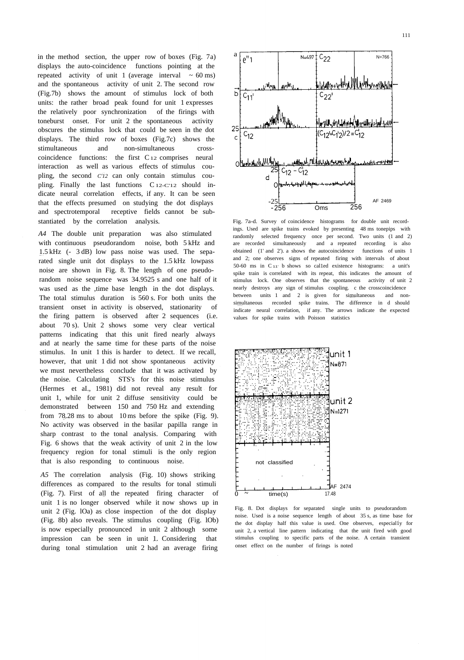in the method section, the upper row of boxes (Fig. 7a) displays the auto-coincidence functions pointing at the repeated activity of unit 1 (average interval  $\sim 60$  ms) and the spontaneous activity of unit 2. The second row (Fig.7b) shows the amount of stimulus lock of both units: the rather broad peak found for unit 1 expresses the relatively poor synchronization of the firings with toneburst onset. For unit 2 the spontaneous activity obscures the stimulus lock that could be seen in the dot displays. The third row of boxes (Fig.7c) shows the stimultaneous and non-simultaneous crosscoincidence functions: the first C12 comprises neural interaction as well as various effects of stimulus coupling, the second *C'12* can only contain stimulus coupling. Finally the last functions C12-C'12 should indicate neural correlation effects, if any. It can be seen that the effects presumed on studying the dot displays and spectrotemporal receptive fields cannot be substantiated by the correlation analysis.

*A4* The double unit preparation was also stimulated with continuous pseudorandom noise, both 5 kHz and 1.5 kHz (- 3 dB) low pass noise was used. The separated single unit dot displays to the 1.5 kHz lowpass noise are shown in Fig. 8. The length of one pseudorandom noise sequence was 34.9525 s and one half of it was used as the ,time base length in the dot displays. The total stimulus duration is 560 s. For both units the transient onset in activity is observed, stationarity of the firing pattern is observed after 2 sequences (i.e. about 70 s). Unit 2 shows some very clear vertical patterns indicating that this unit fired nearly always and at nearly the same time for these parts of the noise stimulus. In unit 1 this is harder to detect. If we recall, however, that unit 1 did not show spontaneous activity we must nevertheless conclude that it was activated by the noise. Calculating STS's for this noise stimulus (Hermes et aI., 1981) did not reveal any result for unit 1, while for unit 2 diffuse sensitivity could be demonstrated between 150 and 750 Hz and extending from 78.28 ms to about 10 ms before the spike (Fig. 9). No activity was observed in the basilar papilla range in sharp contrast to the tonal analysis. Comparing with Fig. 6 shows that the weak activity of unit 2 in the low frequency region for tonal stimuli is the only region that is also responding to continuous noise.

*A5* The correlation analysis (Fig. 10) shows striking differences as compared to the results for tonal stimuli (Fig. 7). First of all the repeated firing character of unit 1 is no longer observed while it now shows up in unit 2 (Fig. lOa) as close inspection of the dot display (Fig. 8b) also reveals. The stimulus coupling (Fig. lOb) is now especially pronounced in unit 2 although some impression can be seen in unit 1. Considering that during tonal stimulation unit 2 had an average firing



Fig. 7a-d. Survey of coincidence histograms for double unit recordings. Used are spike trains evoked by presenting 48 ms tonepips with randomly selected frequency once per second. Two units (1 and 2) are recorded simultaneously and a repeated recording is also obtained (1' and 2'). a shows the autocoincidence functions of units 1 and 2; one observes signs of repeated firing with intervals of about 50-60 ms in C 11' b shows so cal1ed existence histograms: a unit's spike train is correlated with its repeat, this indicates the amount of stimulus lock. One observes that the spontaneous activity of unit 2 nearly destroys any sign of stimulus coupling. c the crosscoincidence between units 1 and 2 is given for simultaneous and nonsimultaneous recorded spike trains. The difference in d should indicate neural correlation, if any. The arrows indicate the expected values for spike trains with Poisson statistics



Fig. 8. Dot displays for separated single units to pseudorandom noise. Used is a noise sequence length of about 35 s, as time base for the dot display half this value is used. One observes, especially for unit 2, a vertical line pattern indicating that the unit fired with good stimulus coupling to specific parts of the noise. A certain transient onset effect on the number of firings is noted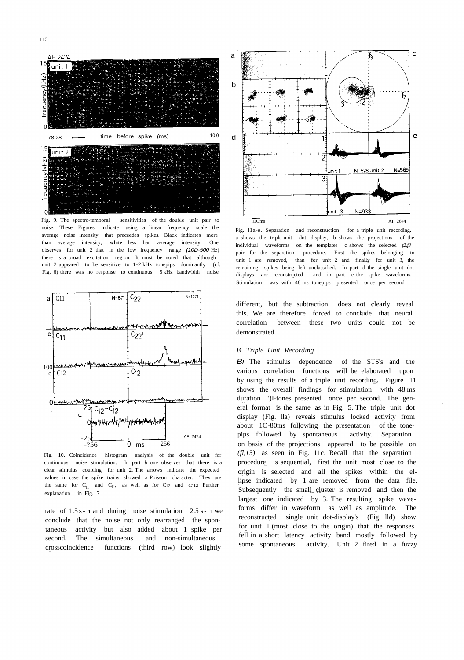

Fig. 9. The spectro-temporal sensitivities of the double unit pair to noise. These Figures indicate using a linear frequency scale the average noise intensity that preceedes spikes. Black indicates more than average intensity, white less than average intensity. One observes for unit 2 that in the low frequency range *(10D-500* Hz) there is a broad excitation region. It must be noted that although unit 2 appeared to be sensitive to 1-2 kHz tonepips dominantly (cf. Fig. 6) there was no response to continuous 5 kHz bandwidth noise



Fig. 10. Coincidence histogram analysis of the double unit for continuous noise stimulation. In part *b* one observes that there is a clear stimulus coupling for unit 2. The arrows indicate the expected values in case the spike trains showed a Poisson character. They are the same for  $C_{11}$  and  $C_{11}$ , as well as for  $C_{12}$  and  $C_{12}$ . Further explanation in Fig. 7

rate of  $1.5 s - 1$  and during noise stimulation  $2.5 s - 1$  we conclude that the noise not only rearranged the spontaneous activity but also added about 1 spike per second. The simultaneous and non-simultaneous crosscoincidence functions (third row) look slightly



Fig. l1a-e. Separation and reconstruction for a triple unit recording. a shows the triple-unit dot display, b shows the projections of the individual waveforms on the templates c shows the selected *f2,f3* pair for the separation procedure. First the spikes belonging to unit 1 are removed, than for unit 2 and finally for unit 3, the remaining spikes being left unclassified. In part d the single unit dot displays are reconstructed and in part e the spike waveforms. Stimulation was with 48 ms tonepips presented once per second

different, but the subtraction does not clearly reveal this. We are therefore forced to conclude that neural correlation between these two units could not be demonstrated.

## *B Triple Unit Recording*

*Bi* The stimulus dependence of the STS's and the various correlation functions will be elaborated upon by using the results of a triple unit recording. Figure 11 shows the overall findings for stimulation with 48 ms duration ')I-tones presented once per second. The general format is the same as in Fig. 5. The triple unit dot display (Fig. lla) reveals stimulus locked activity from about 1O-80ms following the presentation of the tonepips followed by spontaneous activity. Separation on basis of the projections appeared to be possible on *(fl,13)* as seen in Fig. 11c. Recall that the separation procedure is sequential, first the unit most close to the origin is selected and all the spikes within the ellipse indicated by 1 are removed from the data file. Subsequently the small cluster is removed and then the largest one indicated by 3. The resulting spike waveforms differ in waveform as well as amplitude. The reconstructed single unit dot-display's (Fig. lld) show for unit 1 (most close to the origin) that the responses fell in a short latency activity band mostly followed by some spontaneous activity. Unit 2 fired in a fuzzy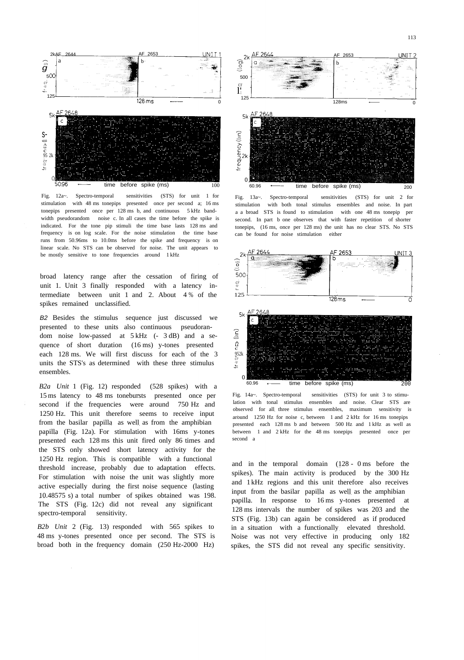

Fig. 12a~. Spectro-temporal sensitivities (STS) for unit 1 for stimulation with 48 ms tonepips presented once per second a; 16 ms tonepips presented once per 128 ms b, and continuous 5 kHz bandwidth pseudorandom noise c. In all cases the time before the spike is indicated. For the tone pip stimuli the time base lasts 128 ms and frequency is on log scale. For the noise stimulation the time base runs from 50.96ms to 10.0ms before the spike and frequency is on linear scale. No STS can be observed for noise. The unit appears to be mostly sensitive to tone frequencies around 1 kHz

broad latency range after the cessation of firing of unit 1. Unit 3 finally responded with a latency intermediate between unit 1 and 2. About 4 % of the spikes remained unclassified.

*B2* Besides the stimulus sequence just discussed we presented to these units also continuous pseudorandom noise low-passed at 5 kHz (- 3 dB) and a sequence of short duration (16 ms) y-tones presented each 128 ms. We will first discuss for each of the 3 units the STS's as determined with these three stimulus ensembles.

*B2a Unit* 1 (Fig. 12) responded (528 spikes) with a 15 ms latency to 48 ms tonebursts presented once per second if the frequencies were around 750 Hz and 1250 Hz. This unit therefore seems to receive input from the basilar papilla as well as from the amphibian papilla (Fig. 12a). For stimulation with 16ms y-tones presented each 128 ms this unit fired only 86 times and the STS only showed short latency activity for the 1250 Hz region. This is compatible with a functional threshold increase, probably due to adaptation effects. For stimulation with noise the unit was slightly more active especially during the first noise sequence (lasting 10.48575 s) a total number of spikes obtained was 198. The STS (Fig. 12c) did not reveal any significant spectro-temporal sensitivity.

*B2b Unit* 2 (Fig. 13) responded with 565 spikes to 48 ms y-tones presented once per second. The STS is broad both in the frequency domain (250 Hz-2000 Hz)



Fig. 13a~. Spectro-temporal sensitivities (STS) for unit 2 for stimulation with both tonal stimulus ensembles and noise. In part a a broad STS is found to stimulation with one 48 ms tonepip per second. In part b one observes that with faster repetition of shorter tonepips, (16 ms, once per 128 ms) the unit has no clear STS. No STS can be found for noise stimulation either



Fig. 14a~. Spectro-temporal sensitivities (STS) for unit 3 to stimulation with tonal stimulus ensembles and noise. Clear STS are observed for all three stimulus ensembles, maximum sensitivity is around 1250 Hz for noise c, between 1 and 2 kHz for 16 ms tonepips presented each 128 ms b and between 500 Hz and 1 kHz as well as between 1 and 2 kHz for the 48 ms tonepips presented once per second a

and in the temporal domain (128 - 0 ms before the spikes). The main activity is produced by the 300 Hz and 1 kHz regions and this unit therefore also receives input from the basilar papilla as well as the amphibian papilla. In response to 16 ms y-tones presented at 128 ms intervals the number of spikes was 203 and the STS (Fig. 13b) can again be considered as if produced in a situation with a functionally elevated threshold. Noise was not very effective in producing only 182 spikes, the STS did not reveal any specific sensitivity.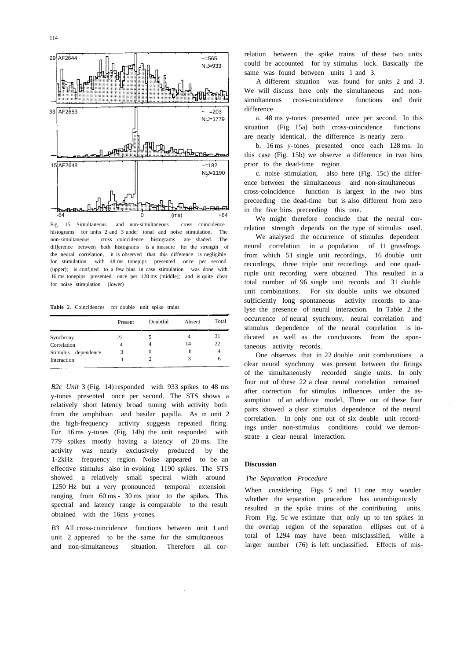

Fig. 15. Simultaneous and non-simultaneous cross coincidence histograms for units 2 and 3 under tonal and noise stimulation. The non-simultaneous cross coincidence histograms are shaded. The difference between both histograms is a measure for the strength of the neural correlation, it is observed that this difference is negligible for stimulation with 48 ms tonepips presented once per second (upper); is confined to a few bins in case stimulation was done with 16 ms tonepips presented once per 128 ms (middle); and is quite clear for noise stimulation (lower)

**Table** 2. Coincidences for double unit spike trains

|                        | Present | Doubtful | Absent | Total |
|------------------------|---------|----------|--------|-------|
| Synchrony              | 22      |          |        | 31    |
| Correlation            |         |          | 14     | 22    |
| Stimulus<br>dependence | 3       |          |        |       |
| Interaction            |         |          | 3      | 6     |

*B2c Unit* 3 (Fig. 14) responded with 933 spikes to 48 ms y-tones presented once per second. The STS shows a relatively short latency broad tuning with activity both from the amphibian and basilar papilla. As in unit 2 the high-frequency activity suggests repeated firing. For 16 ms y-tones (Fig. 14b) the unit responded with 779 spikes mostly having a latency of 20 ms. The activity was nearly exclusively produced by the 1-2kHz frequency region. Noise appeared to be an effective stimulus also in evoking 1190 spikes. The STS showed a relatively small spectral width around 1250 Hz but a very pronounced temporal extension ranging from 60 ms - 30 ms prior to the spikes. This spectral and latency range is comparable to the result obtained with the 16ms y-tones.

*B3* All cross-coincidence functions between unit 1 and unit 2 appeared to be the same for the simultaneous and non-simultaneous situation. Therefore all correlation between the spike trains of these two units could be accounted for by stimulus lock. Basically the same was found between units 1 and 3.

A different situation was found for units 2 and 3. We will discuss here only the simultaneous and nonsimultaneous cross-coincidence functions and their difference

a. 48 ms y-tones presented once per second. In this situation (Fig. 15a) both cross-coincidence functions are nearly identical, the difference is nearly zero.

b. 16 ms *y-* tones presented once each 128 ms. In this case (Fig. 15b) we observe a difference in two bins prior to the dead-time region

c. noise stimulation, also here (Fig. 15c) the difference between the simultaneous and non-simultaneous cross-coincidence function is largest in the two bins preceeding the dead-time but is also different from zero in the five bins preceeding this one.

We might therefore conclude that the neural correlation strength depends on the type of stimulus used.

We analysed the occurrence of stimulus dependent neural correlation in a population of 11 grassfrogs from which 51 single unit recordings, 16 double unit recordings, three triple unit recordings and one quadruple unit recording were obtained. This resulted in a total number of 96 single unit records and 31 double unit combinations. For six double units we obtained sufficiently long spontaneous activity records to analyse the presence of neural interaction. In Table 2 the occurrence of neural synchrony, neural correlation and stimulus dependence of the neural correlation is indicated as well as the conclusions from the spontaneous activity records.

One observes that in 22 double unit combinations a clear neural synchrony was present between the firings of the simultaneously recorded single units. In only four out of these 22 a clear neural correlation remained after correction for stimulus influences under the assumption of an additive model. Three out of these four pairs showed a clear stimulus dependence of the neural correlation. In only one out of six double unit recordings under non-stimulus conditions could we demonstrate a clear neural interaction.

#### **Discussion**

#### *The Separation Procedure*

When considering Figs. 5 and 11 one may wonder whether the separation procedure has unambiguously resulted in the spike trains of the contributing units. From Fig. 5c we estimate that only up to ten spikes in the overlap region of the separation ellipses out of a total of 1294 may have been misclassified, while a larger number (76) is left unclassified. Effects of mis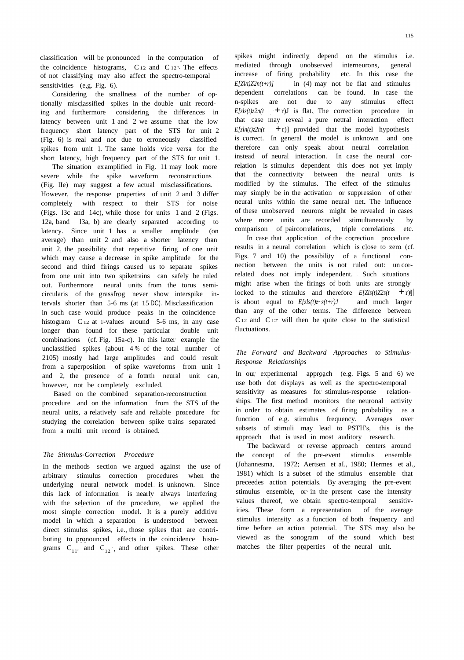classification will be pronounced in the computation of the coincidence histograms,  $C_{12}$  and  $C_{12}$ . The effects of not classifying may also affect the spectro-temporal sensitivities (e,g. Fig. 6).

Considering the smallness of the number of optionally misclassified spikes in the double unit recording and furthermore considering the differences in latency between unit 1 and 2 we assume that the low frequency short latency part of the STS for unit 2 (Fig. 6) is real and not due to erroneously classified spikes from unit 1. The same holds vice versa for the short latency, high frequency part of the STS for unit 1. The situation examplified in Fig. 11 may look more severe while the spike waveform reconstructions (Fig. lIe) may suggest a few actual misclassifications. However, the response properties of unit 2 and 3 differ completely with respect to their STS for noise (Figs. l3c and 14c), while those for units 1 and 2 (Figs. 12a, band l3a, b) are clearly separated according to latency. Since unit 1 has a smaller amplitude (on average) than unit 2 and also a shorter latency than unit 2, the possibility that repetitive firing of one unit which may cause a decrease in spike amplitude for the second and third firings caused us to separate spikes from one unit into two spiketrains can safely be ruled out. Furthermore neural units from the torus semicircularis of the grassfrog never show interspike intervals shorter than 5-6 ms (at 15 DC). Misclassification in such case would produce peaks in the coincidence histogram C<sub>12</sub> at r-values around 5-6 ms, in any case longer than found for these particular double unit combinations (cf. Fig. 15a-c). In this latter example the unclassified spikes (about 4 % of the total number of 2105) mostly had large amplitudes and could result from a superposition of spike waveforms from unit 1 and 2, the presence of a fourth neural unit can, however, not be completely excluded.

Based on the combined separation-reconstruction procedure and on the information from the STS of the neural units, a relatively safe and reliable procedure for studying the correlation between spike trains separated from a multi unit record is obtained.

## *The Stimulus-Correction Procedure*

In the methods section we argued against the use of arbitrary stimulus correction procedures when the underlying neural network model is unknown. Since this lack of information is nearly always interfering with the selection of the procedure, we applied the most simple correction model. It is a purely additive model in which a separation is understood between direct stimulus spikes, i.e., those spikes that are contributing to pronounced effects in the coincidence histograms  $C_{11}$ , and  $C_{12}$ ", and other spikes. These other

spikes might indirectly depend on the stimulus i.e. mediated through unobserved interneurons, general increase of firing probability etc. In this case the  $E[Z]/t|Zn(t+r)|$  in (4) may not be flat and stimulus dependent correlations can be found. In case the n-spikes are not due to any stimulus effect  $E[z]s(t)z2n(t + r)$  is flat. The correction procedure in that case may reveal a pure neural interaction effect  $E[zln(t)z2n(t + r)]$  provided that the model hypothesis is correct. In general the model is unknown and one therefore can only speak about neural correlation instead of neural interaction. In case the neural correlation is stimulus dependent this does not yet imply that the connectivity between the neural units is modified by the stimulus. The effect of the stimulus may simply be in the activation or suppression of other neural units within the same neural net. The influence of these unobserved neurons might be revealed in cases where more units are recorded stimultaneously by comparison of paircorrelations, triple correlations etc.

In case that application of the correction procedure results in a neural correlation which is close to zero (cf. Figs. 7 and 10) the possibility of a functional connection between the units is not ruled out: un correlated does not imply independent. Such situations might arise when the firings of both units are strongly locked to the stimulus and therefore  $E[Z\vert s(t)Z\vert 2s(t + r)]$ is about equal to  $E[z]s(t)z-s(t+r)J$  and much larger than any of the other terms. The difference between C12 and C12' will then be quite close to the statistical fluctuations.

# *The Forward and Backward Approaches to Stimulus-Response Relationships*

In our experimental approach (e.g. Figs. 5 and 6) we use both dot displays as well as the spectro-temporal sensitivity as measures for stimulus-response relationships. The first method monitors the neuronal activity in order to obtain estimates of firing probability as a function of e.g. stimulus frequency. Averages over subsets of stimuli may lead to PSTH's, this is the approach that is used in most auditory research.

The backward or reverse approach centers around the concept of the pre-event stimulus ensemble (Johannesma, 1972; Aertsen et aI., 1980; Hermes et aI., 1981) which is a subset of the stimulus ensemble that preceedes action potentials. By averaging the pre-event stimulus ensemble, or in the present case the intensity values thereof, we obtain spectro-temporal sensitivities. These form a representation of the average stimulus intensity as a function of both frequency and time before an action potential. The STS may also be viewed as the sonogram of the sound which best matches the filter properties of the neural unit.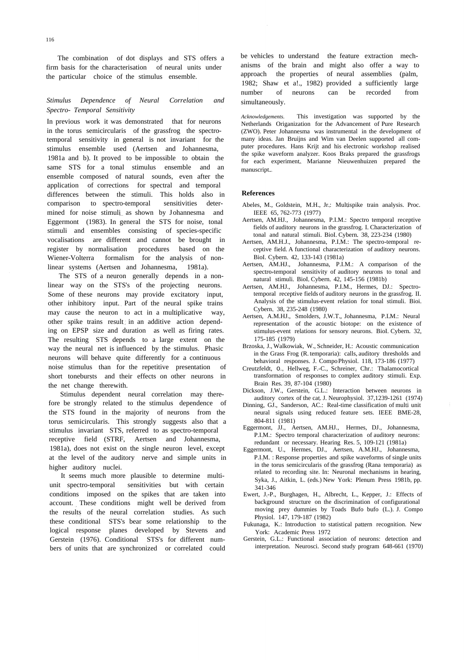116

The combination of dot displays and STS offers a firm basis for the characterisation of neural units under the particular choice of the stimulus ensemble.

# *Stimulus Dependence of Neural Correlation and Spectro- Temporal Sensitivity*

In previous work it was demonstrated that for neurons in the torus semicircularis of the grassfrog the spectrotemporal sensitivity in general is not invariant for the stimulus ensemble used (Aertsen and Johannesma, 1981a and b). It proved to be impossible to obtain the same STS for a tonal stimulus ensemble and an ensemble composed of natural sounds, even after the application of corrections for spectral and temporal differences between the stimuli. This holds also in comparison to spectro-temporal sensitivities determined for noise stimuli as shown by Johannesma and Eggermont (1983). In general the STS for noise, tonal stimuli and ensembles consisting of species-specific vocalisations are different and cannot be brought in register by normalisation procedures based on the Wiener-Volterra formalism for the analysis of nonlinear systems (Aertsen and Johannesma, 1981a).

The STS of a neuron generally depends in a nonlinear way on the STS's of the projecting neurons. Some of these neurons may provide excitatory input, other inhibitory input. Part of the neural spike trains may cause the neuron to act in a multiplicative way, other spike trains result in an additive action depending on EPSP size and duration as well as firing rates. The resulting STS depends to a large extent on the way the neural net is influenced by the stimulus. Phasic neurons will behave quite differently for a continuous noise stimulus than for the repetitive presentation of short tonebursts and their effects on other neurons in the net change therewith.

Stimulus dependent neural correlation may therefore be strongly related to the stimulus dependence of the STS found in the majority of neurons from the torus semicircularis. This strongly suggests also that a stimulus invariant STS, referred to as spectro-temporal receptive field (STRF, Aertsen and Johannesma, 1981a), does not exist on the single neuron level, except at the level of the auditory nerve and simple units in higher auditory nuclei.

It seems much more plausible to determine multiunit spectro-temporal sensitivities but with certain conditions imposed on the spikes that are taken into account. These conditions might well be derived from the results of the neural correlation studies. As such these conditional STS's bear some relationship to the logical response planes developed by Stevens and Gerstein (1976). Conditional STS's for different numbers of units that are synchronized or correlated could

be vehicles to understand the feature extraction mechanisms of the brain and might also offer a way to approach the properties of neural assemblies (palm, 1982; Shaw et a!., 1982) provided a sufficiently large number of neurons can be recorded from simultaneously.

*Acknowledgements.* This investigation was supported by the Netherlands Origanization for the Advancement of Pure Research (ZWO). Peter Johannesma was instrumental in the development of many ideas. Jan Bruijns and Wim van Deelen supported all computer procedures. Hans Krijt and his electronic workshop realised the spike waveform analyzer. Koos Braks prepared the grassfrogs for each experiment. Marianne Nieuwenhuizen prepared the manuscript.

#### **References**

- Abeles, M., Goldstein, M.H., Jr.: Multispike train analysis. Proc. IEEE 65, 762-773 (1977)
- Aertsen, AM.HJ., Johannesma, P.I.M.: Spectro temporal receptive fields of auditory neurons in the grassfrog. I. Characterization of tonal and natural stimuli. BioI. Cybern. 38, 223-234 (1980)
- Aertsen, AM.H.J., Johannesma, P.I.M.: The spectro-temporal receptive field. A functional characterization of auditory neurons. BioI. Cybern. 42, 133-143 (1981a)
- Aertsen, AM.HJ., Johannesma, P.I.M.: A comparison of the spectro-temporal sensitivity of auditory neurons to tonal and natural stimuli. BioI. Cybern. 42, 145-156 (1981b)
- Aertsen, AM.HJ., Johannesma, P.I.M., Hermes, DJ.: Spectrotemporal receptive fields of auditory neurons in the grassfrog. II. Analysis of the stimulus-event relation for tonal stimuli. Bioi. Cybern. 38, 235-248 (1980)
- Aertsen, A.M.HJ., Smolders, J.W.T., Johannesma, P.I.M.: Neural representation of the acoustic biotope: on the existence of stimulus-event relations for sensory neurons. BioI. Cybern. 32, 175-185 (1979)
- Brzoska, J., Walkowiak, W., Schneider, H.: Acoustic communication in the Grass Frog (R. temporaria): calls, auditory thresholds and behavioral responses. J. CompoPhysiol. 118, 173-186 (1977)
- Creutzfeldt, 0., Hellweg, F.-C., Schreiner, Chr.: Thalamocortical transformation of responses to complex auditory stimuli. Exp. Brain Res. 39, 87-104 (1980)
- Dickson, J.W., Gerstein, G.L.: Interaction between neurons in auditory cortex of the cat. J. Neurophysiol. 37,1239-1261 (1974)
- Dinning, GJ., Sanderson, AC.: Real-time classification of multi unit neural signals using reduced feature sets. IEEE BME-28, 804-811 (1981)
- Eggermont, JJ., Aertsen, AM.HJ., Hermes, DJ., Johannesma, P.I.M.: Spectro temporal characterization of auditory neurons: redundant or necessary. Hearing Res. 5, 109-121 (1981a)
- Eggermont, U., Hermes, DJ., Aertsen, A.M.HJ., Johannesma, P.I.M. : Response properties and spike waveforms of single units in the torus semicircularis of the grassfrog (Rana temporaria) as related to recording site. In: Neuronal mechanisms in hearing, Syka, J., Aitkin, L. (eds.) New York: Plenum Press 1981b, pp. 341-346
- Ewert, J.-P., Burghagen, H., Albrecht, L., Kepper, J.: Effects of background structure on the discrimination of configurational moving prey dummies by Toads Bufo bufo (L.). J. Compo Physiol. 147, 179-187 (1982)
- Fukunaga, K.: Introduction to statistical pattern recognition. New York: Academic Press 1972
- Gerstein, G.L.: Functional association of neurons: detection and interpretation. Neurosci. Second study program 648-661 (1970)